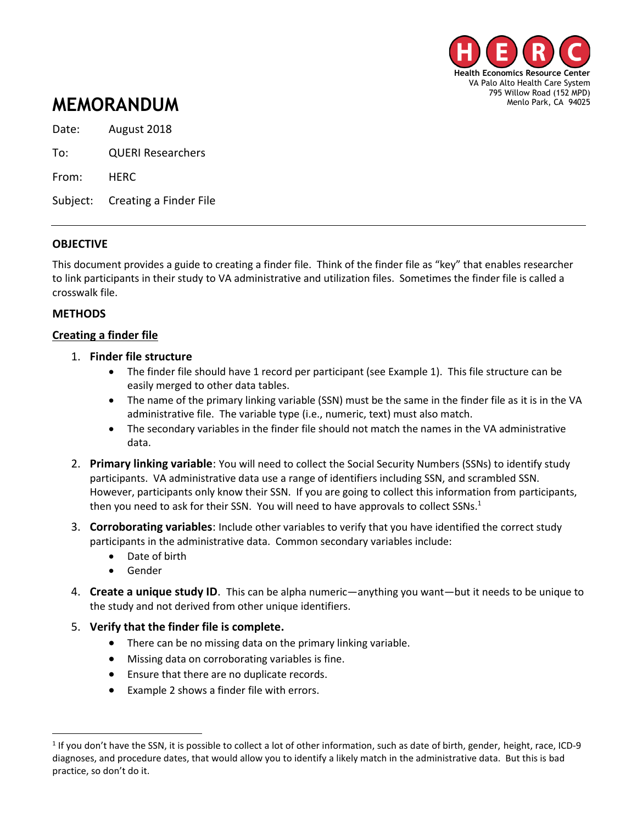

# **MEMORANDUM**

| Date: | August 2018                     |
|-------|---------------------------------|
| To:   | <b>QUERI Researchers</b>        |
| From: | HERC                            |
|       | Subject: Creating a Finder File |
|       |                                 |

## **OBJECTIVE**

This document provides a guide to creating a finder file. Think of the finder file as "key" that enables researcher to link participants in their study to VA administrative and utilization files. Sometimes the finder file is called a crosswalk file.

## **METHODS**

 $\overline{a}$ 

## **Creating a finder file**

- 1. **Finder file structure**
	- The finder file should have 1 record per participant (see Example 1). This file structure can be easily merged to other data tables.
	- The name of the primary linking variable (SSN) must be the same in the finder file as it is in the VA administrative file. The variable type (i.e., numeric, text) must also match.
	- The secondary variables in the finder file should not match the names in the VA administrative data.
- 2. **Primary linking variable**: You will need to collect the Social Security Numbers (SSNs) to identify study participants. VA administrative data use a range of identifiers including SSN, and scrambled SSN. However, participants only know their SSN. If you are going to collect this information from participants, then you need to ask for their SSN. You will need to have approvals to collect SSNs.<sup>1</sup>
- 3. **Corroborating variables**: Include other variables to verify that you have identified the correct study participants in the administrative data. Common secondary variables include:
	- Date of birth
	- Gender
- 4. **Create a unique study ID**. This can be alpha numeric—anything you want—but it needs to be unique to the study and not derived from other unique identifiers.
- 5. **Verify that the finder file is complete.**
	- There can be no missing data on the primary linking variable.
	- Missing data on corroborating variables is fine.
	- Ensure that there are no duplicate records.
	- Example 2 shows a finder file with errors.

<sup>1</sup> If you don't have the SSN, it is possible to collect a lot of other information, such as date of birth, gender, height, race, ICD-9 diagnoses, and procedure dates, that would allow you to identify a likely match in the administrative data. But this is bad practice, so don't do it.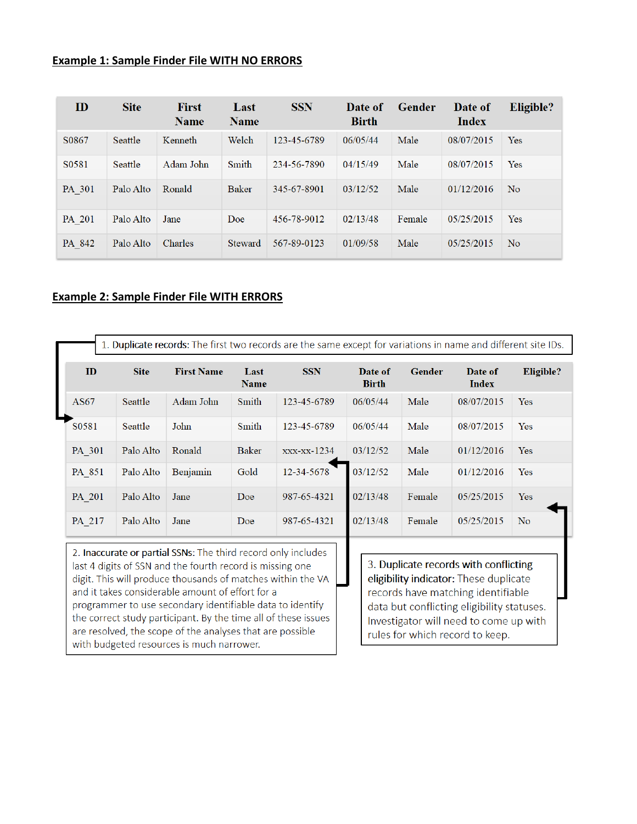#### **Example 1: Sample Finder File WITH NO ERRORS**

| ID                | <b>Site</b> | <b>First</b><br><b>Name</b> | Last<br><b>Name</b> | <b>SSN</b>  | Date of<br><b>Birth</b> | Gender | Date of<br><b>Index</b> | Eligible?      |
|-------------------|-------------|-----------------------------|---------------------|-------------|-------------------------|--------|-------------------------|----------------|
| S0867             | Seattle     | Kenneth                     | Welch               | 123-45-6789 | 06/05/44                | Male   | 08/07/2015              | Yes            |
| S <sub>0581</sub> | Seattle     | Adam John                   | <b>Smith</b>        | 234-56-7890 | 04/15/49                | Male   | 08/07/2015              | Yes            |
| PA 301            | Palo Alto   | Ronald                      | <b>Baker</b>        | 345-67-8901 | 03/12/52                | Male   | 01/12/2016              | N <sub>o</sub> |
| PA 201            | Palo Alto   | Jane                        | Doe                 | 456-78-9012 | 02/13/48                | Female | 05/25/2015              | Yes            |
| PA 842            | Palo Alto   | Charles                     | Steward             | 567-89-0123 | 01/09/58                | Male   | 05/25/2015              | N <sub>o</sub> |

#### **Example 2: Sample Finder File WITH ERRORS**

| 1. Duplicate records: The first two records are the same except for variations in name and different site IDs. |             |                   |                     |               |                         |        |                         |                |
|----------------------------------------------------------------------------------------------------------------|-------------|-------------------|---------------------|---------------|-------------------------|--------|-------------------------|----------------|
| ID                                                                                                             | <b>Site</b> | <b>First Name</b> | Last<br><b>Name</b> | <b>SSN</b>    | Date of<br><b>Birth</b> | Gender | Date of<br><b>Index</b> | Eligible?      |
| AS67                                                                                                           | Seattle     | Adam John         | Smith               | 123-45-6789   | 06/05/44                | Male   | 08/07/2015              | Yes            |
| S0581                                                                                                          | Seattle     | John              | Smith               | 123-45-6789   | 06/05/44                | Male   | 08/07/2015              | Yes            |
| PA 301                                                                                                         | Palo Alto   | Ronald            | <b>Baker</b>        | $XXX-XX-1234$ | 03/12/52                | Male   | 01/12/2016              | Yes            |
| PA 851                                                                                                         | Palo Alto   | Benjamin          | Gold                | 12-34-5678    | 03/12/52                | Male   | 01/12/2016              | Yes            |
| PA 201                                                                                                         | Palo Alto   | Jane              | Doe                 | 987-65-4321   | 02/13/48                | Female | 05/25/2015              | Yes            |
| PA 217                                                                                                         | Palo Alto   | Jane              | Doe                 | 987-65-4321   | 02/13/48                | Female | 05/25/2015              | N <sub>o</sub> |

2. Inaccurate or partial SSNs: The third record only includes last 4 digits of SSN and the fourth record is missing one digit. This will produce thousands of matches within the VA and it takes considerable amount of effort for a programmer to use secondary identifiable data to identify the correct study participant. By the time all of these issues are resolved, the scope of the analyses that are possible with budgeted resources is much narrower.

3. Duplicate records with conflicting eligibility indicator: These duplicate records have matching identifiable data but conflicting eligibility statuses. Investigator will need to come up with rules for which record to keep.